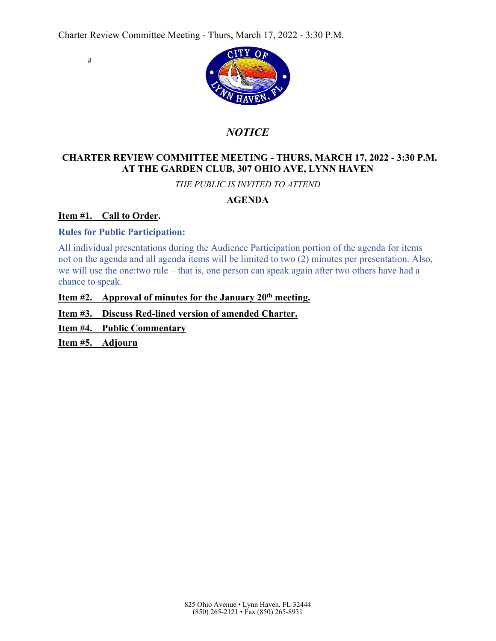$#$ 



# *NOTICE*

# **CHARTER REVIEW COMMITTEE MEETING - THURS, MARCH 17, 2022 - 3:30 P.M. AT THE GARDEN CLUB, 307 OHIO AVE, LYNN HAVEN**

*THE PUBLIC IS INVITED TO ATTEND* 

# **AGENDA**

# **Item #1. Call to Order.**

# **Rules for Public Participation:**

All individual presentations during the Audience Participation portion of the agenda for items not on the agenda and all agenda items will be limited to two (2) minutes per presentation. Also, we will use the one:two rule – that is, one person can speak again after two others have had a chance to speak.

**Item #2. Approval of minutes for the January 20th meeting.**

**Item #3. Discuss Red-lined version of amended Charter.** 

**Item #4. Public Commentary** 

Item #5. Adjourn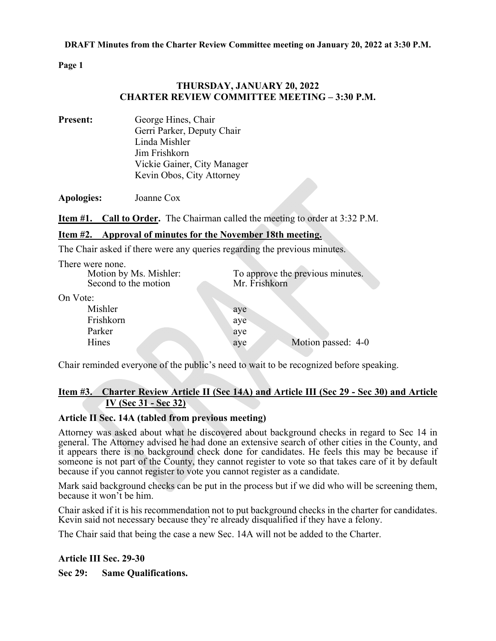**Page 1** 

# **THURSDAY, JANUARY 20, 2022 CHARTER REVIEW COMMITTEE MEETING – 3:30 P.M.**

**Present:** George Hines, Chair Gerri Parker, Deputy Chair Linda Mishler Jim Frishkorn Vickie Gainer, City Manager Kevin Obos, City Attorney

**Apologies:** Joanne Cox

**Item #1. Call to Order.** The Chairman called the meeting to order at 3:32 P.M.

# **Item #2. Approval of minutes for the November 18th meeting.**

The Chair asked if there were any queries regarding the previous minutes.

| There were none.       |                                  |
|------------------------|----------------------------------|
| Motion by Ms. Mishler: | To approve the previous minutes. |
| Second to the motion   | Mr. Frishkorn                    |
| On Vote:               |                                  |
| Mishler                | aye                              |
| Frishkorn              | aye                              |
| Parker                 | aye                              |
| Hines                  | Motion passed: 4-0<br>aye        |
|                        |                                  |

Chair reminded everyone of the public's need to wait to be recognized before speaking.

# **Item #3. Charter Review Article II (Sec 14A) and Article III (Sec 29 - Sec 30) and Article IV (Sec 31 - Sec 32)**

## **Article II Sec. 14A (tabled from previous meeting)**

Attorney was asked about what he discovered about background checks in regard to Sec 14 in general. The Attorney advised he had done an extensive search of other cities in the County, and it appears there is no background check done for candidates. He feels this may be because if someone is not part of the County, they cannot register to vote so that takes care of it by default because if you cannot register to vote you cannot register as a candidate.

Mark said background checks can be put in the process but if we did who will be screening them, because it won't be him.

Chair asked if it is his recommendation not to put background checks in the charter for candidates. Kevin said not necessary because they're already disqualified if they have a felony.

The Chair said that being the case a new Sec. 14A will not be added to the Charter.

## **Article III Sec. 29-30**

**Sec 29: Same Qualifications.**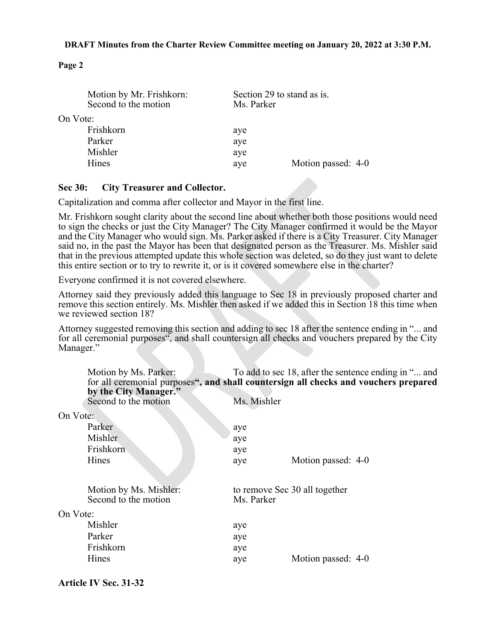## **DRAFT Minutes from the Charter Review Committee meeting on January 20, 2022 at 3:30 P.M.**

## **Page 2**

|          | Motion by Mr. Frishkorn:<br>Second to the motion | Section 29 to stand as is.<br>Ms. Parker |                    |
|----------|--------------------------------------------------|------------------------------------------|--------------------|
| On Vote: |                                                  |                                          |                    |
|          | Frishkorn                                        | aye                                      |                    |
|          | Parker                                           | aye                                      |                    |
|          | Mishler                                          | aye                                      |                    |
|          | <b>Hines</b>                                     | aye                                      | Motion passed: 4-0 |
|          |                                                  |                                          |                    |

## **Sec 30: City Treasurer and Collector.**

Capitalization and comma after collector and Mayor in the first line.

Mr. Frishkorn sought clarity about the second line about whether both those positions would need to sign the checks or just the City Manager? The City Manager confirmed it would be the Mayor and the City Manager who would sign. Ms. Parker asked if there is a City Treasurer. City Manager said no, in the past the Mayor has been that designated person as the Treasurer. Ms. Mishler said that in the previous attempted update this whole section was deleted, so do they just want to delete this entire section or to try to rewrite it, or is it covered somewhere else in the charter?

Everyone confirmed it is not covered elsewhere.

Attorney said they previously added this language to Sec 18 in previously proposed charter and remove this section entirely. Ms. Mishler then asked if we added this in Section 18 this time when we reviewed section 18?

Attorney suggested removing this section and adding to sec 18 after the sentence ending in "... and for all ceremonial purposes", and shall countersign all checks and vouchers prepared by the City Manager."

|          | Motion by Ms. Parker:<br>by the City Manager."<br>Second to the motion | Ms. Mishler | To add to sec 18, after the sentence ending in " and<br>for all ceremonial purposes", and shall countersign all checks and vouchers prepared |
|----------|------------------------------------------------------------------------|-------------|----------------------------------------------------------------------------------------------------------------------------------------------|
| On Vote: |                                                                        |             |                                                                                                                                              |
|          | Parker                                                                 | aye         |                                                                                                                                              |
|          | Mishler                                                                | aye         |                                                                                                                                              |
|          | Frishkorn                                                              | aye         |                                                                                                                                              |
|          | Hines                                                                  | aye         | Motion passed: 4-0                                                                                                                           |
|          |                                                                        |             |                                                                                                                                              |
|          | Motion by Ms. Mishler:<br>Second to the motion                         | Ms. Parker  | to remove Sec 30 all together                                                                                                                |
| On Vote: |                                                                        |             |                                                                                                                                              |
|          | Mishler                                                                | aye         |                                                                                                                                              |
|          | Parker                                                                 | aye         |                                                                                                                                              |
|          | Frishkorn                                                              | aye         |                                                                                                                                              |
|          | Hines                                                                  | aye         | Motion passed: 4-0                                                                                                                           |
|          |                                                                        |             |                                                                                                                                              |

## **Article IV Sec. 31-32**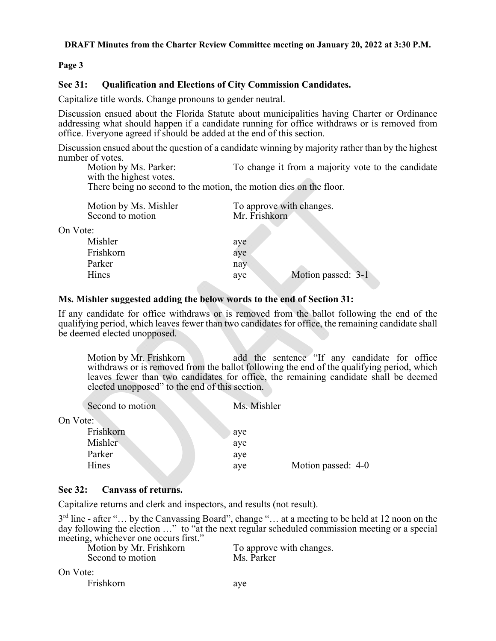## **DRAFT Minutes from the Charter Review Committee meeting on January 20, 2022 at 3:30 P.M.**

## **Page 3**

## **Sec 31: Qualification and Elections of City Commission Candidates.**

Capitalize title words. Change pronouns to gender neutral.

Discussion ensued about the Florida Statute about municipalities having Charter or Ordinance addressing what should happen if a candidate running for office withdraws or is removed from office. Everyone agreed if should be added at the end of this section.

Discussion ensued about the question of a candidate winning by majority rather than by the highest number of votes.

Motion by Ms. Parker: To change it from a majority vote to the candidate with the highest votes.

There being no second to the motion, the motion dies on the floor.

| Motion by Ms. Mishler<br>Second to motion | To approve with changes.<br>Mr. Frishkorn |
|-------------------------------------------|-------------------------------------------|
| On Vote:                                  |                                           |
| Mishler                                   | aye                                       |
| Frishkorn                                 | aye                                       |
| Parker                                    | nay                                       |
| Hines                                     | Motion passed: 3-1<br>aye                 |
|                                           |                                           |

## **Ms. Mishler suggested adding the below words to the end of Section 31:**

If any candidate for office withdraws or is removed from the ballot following the end of the qualifying period, which leaves fewer than two candidates for office, the remaining candidate shall be deemed elected unopposed.

Motion by Mr. Frishkorn add the sentence "If any candidate for office withdraws or is removed from the ballot following the end of the qualifying period, which leaves fewer than two candidates for office, the remaining candidate shall be deemed elected unopposed" to the end of this section.

| Second to motion | Ms. Mishler |                    |
|------------------|-------------|--------------------|
| Vote:            |             |                    |
| Frishkorn        | aye         |                    |
| Mishler          | aye         |                    |
| Parker           | aye         |                    |
| Hines            | aye         | Motion passed: 4-0 |

## **Sec 32: Canvass of returns.**

 $On$ 

Capitalize returns and clerk and inspectors, and results (not result).

 $3<sup>rd</sup>$  line - after "... by the Canvassing Board", change "... at a meeting to be held at 12 noon on the day following the election …" to "at the next regular scheduled commission meeting or a special meeting, whichever one occurs first."

| Motion by Mr. Frishkorn | To approve with changes. |
|-------------------------|--------------------------|
| Second to motion        | Ms. Parker               |
| On Vote:                |                          |

Frishkorn aye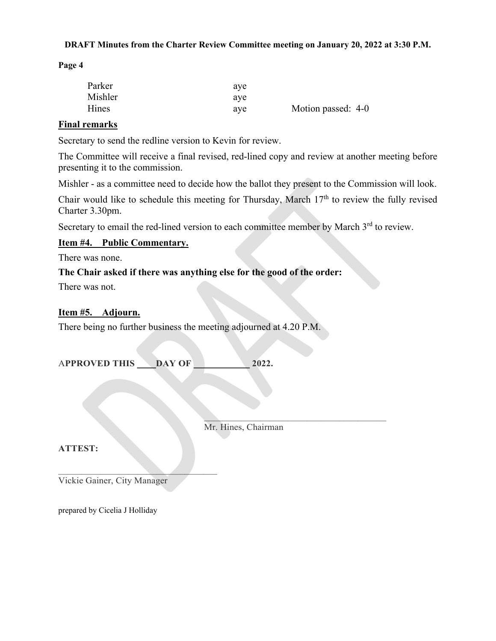## **DRAFT Minutes from the Charter Review Committee meeting on January 20, 2022 at 3:30 P.M.**

**Page 4** 

| Parker  | aye |                    |
|---------|-----|--------------------|
| Mishler | aye |                    |
| Hines   | aye | Motion passed: 4-0 |

# **Final remarks**

Secretary to send the redline version to Kevin for review.

The Committee will receive a final revised, red-lined copy and review at another meeting before presenting it to the commission.

Mishler - as a committee need to decide how the ballot they present to the Commission will look.

Chair would like to schedule this meeting for Thursday, March  $17<sup>th</sup>$  to review the fully revised Charter 3.30pm.

Secretary to email the red-lined version to each committee member by March 3<sup>rd</sup> to review.

## **Item #4. Public Commentary.**

There was none.

# **The Chair asked if there was anything else for the good of the order:**

There was not.

## **Item #5. Adjourn.**

There being no further business the meeting adjourned at 4.20 P.M.

A**PPROVED THIS \_\_\_\_DAY OF \_\_\_\_\_\_\_\_\_\_\_\_ 2022.**

Mr. Hines, Chairman

 $\mathcal{L}=\mathcal{L}$  , where  $\mathcal{L}=\mathcal{L}$  , we have the contribution of  $\mathcal{L}=\mathcal{L}$ 

**ATTEST:** 

Vickie Gainer, City Manager

 $\mathcal{L}=\mathcal{L}=\mathcal{L}=\mathcal{L}=\mathcal{L}=\mathcal{L}=\mathcal{L}=\mathcal{L}=\mathcal{L}=\mathcal{L}=\mathcal{L}=\mathcal{L}=\mathcal{L}=\mathcal{L}=\mathcal{L}=\mathcal{L}=\mathcal{L}=\mathcal{L}=\mathcal{L}=\mathcal{L}=\mathcal{L}=\mathcal{L}=\mathcal{L}=\mathcal{L}=\mathcal{L}=\mathcal{L}=\mathcal{L}=\mathcal{L}=\mathcal{L}=\mathcal{L}=\mathcal{L}=\mathcal{L}=\mathcal{L}=\mathcal{L}=\mathcal{L}=\mathcal{L}=\mathcal{$ 

prepared by Cicelia J Holliday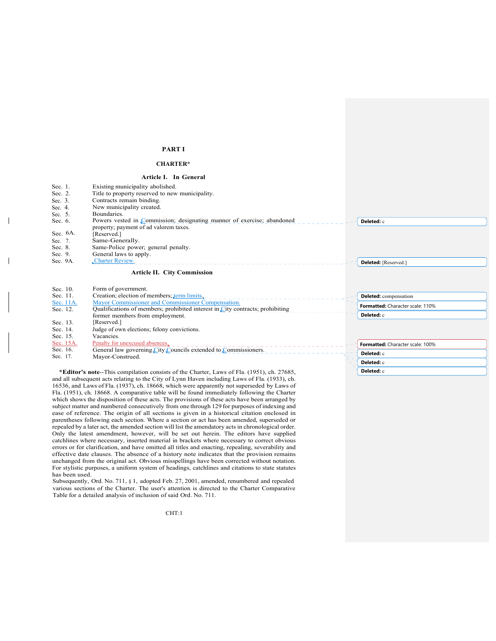### **PART I**

### **CHARTER\***

### **Article I. In General**

| Sec. 1.     | Existing municipality abolished.                                                                                 |                                  |
|-------------|------------------------------------------------------------------------------------------------------------------|----------------------------------|
| Sec. 2.     | Title to property reserved to new municipality.                                                                  |                                  |
| Sec. 3.     | Contracts remain binding.                                                                                        |                                  |
| Sec. 4.     | New municipality created.                                                                                        |                                  |
| Sec. 5.     | Boundaries.                                                                                                      |                                  |
| Sec. 6.     | Powers vested in Commission; designating manner of exercise; abandoned<br>property; payment of ad valorem taxes. | Deleted: c                       |
| Sec. $6A$ . | [Reserved.]                                                                                                      |                                  |
| Sec. 7.     | Same-Generally.                                                                                                  |                                  |
| Sec. 8.     | Same-Police power; general penalty.                                                                              |                                  |
| Sec. 9.     | General laws to apply.                                                                                           |                                  |
| Sec. 9A.    | Charter Review.                                                                                                  | Deleted: [Reserved.]             |
|             | <b>Article II. City Commission</b>                                                                               |                                  |
| Sec. 10.    | Form of government.                                                                                              |                                  |
| Sec. 11.    | Creation; election of members; term limits.                                                                      | <b>Deleted:</b> compensation     |
| Sec. 11A.   | Mayor Commissioner and Commissioner Compensation.                                                                | Formatted: Character scale: 110% |
| Sec. 12.    | Qualifications of members; prohibited interest in City contracts; prohibiting                                    |                                  |
|             | former members from employment.                                                                                  | Deleted: c                       |

|           | former includers from employment.                              | ---------                               |
|-----------|----------------------------------------------------------------|-----------------------------------------|
| Sec. 13.  | [Reserved.]                                                    |                                         |
| Sec. 14.  | Judge of own elections: felony convictions.                    |                                         |
| Sec. 15.  | Vacancies.                                                     |                                         |
| Sec. 15A. | Penalty for unexcused absences.                                | <b>Formatted:</b> Character scale: 100% |
| Sec. 16.  | General law governing City Councils extended to Commissioners. |                                         |
| Sec. 17.  | Mayor-Construed.                                               | <b>Deleted:</b> c                       |

**Deleted:** c **Deleted:** c

**\*Editor's note**--This compilation consists of the Charter, Laws of Fla. (1951), ch. 27685, and all subsequent acts relating to the City of Lynn Haven including Laws of Fla. (1933), ch. 16536, and Laws of Fla. (1937), ch. 18668, which were apparently not superseded by Laws of Fla. (1951), ch. 18668. A comparative table will be found immediately following the Charter which shows the disposition of these acts. The provisions of these acts have been arranged by subject matter and numbered consecutively from one through 129 for purposes of indexing and ease of reference. The origin of all sections is given in a historical citation enclosed in parentheses following each section. Where a section or act has been amended, superseded or repealed by a later act, the amended section will list the amendatory acts in chronological order. Only the latest amendment, however, will be set out herein. The editors have supplied catchlines where necessary, inserted material in brackets where necessary to correct obvious errors or for clarification, and have omitted all titles and enacting, repealing, severability and effective date clauses. The absence of a history note indicates that the provision remains unchanged from the original act. Obvious misspellings have been corrected without notation. For stylistic purposes, a uniform system of headings, catchlines and citations to state statutes has been used.

Subsequently, Ord. No. 711, § 1, adopted Feb. 27, 2001, amended, renumbered and repealed various sections of the Charter. The user's attention is directed to the Charter Comparative Table for a detailed analysis of inclusion of said Ord. No. 711.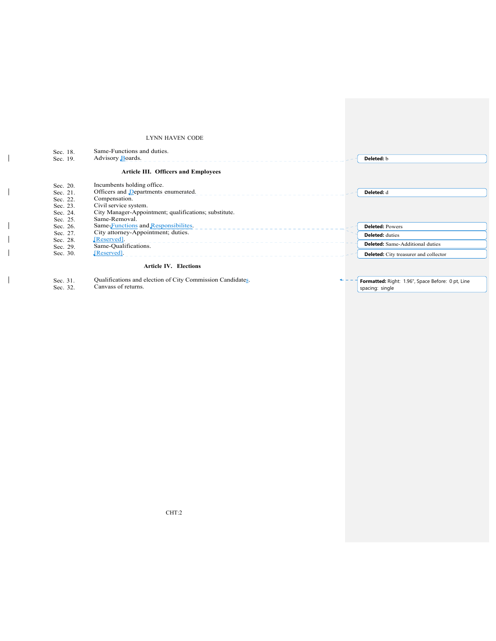### LYNN HAVEN CODE

| Sec. 18.<br>Sec. 19. | Same-Functions and duties.<br>Advisory Boards.        | Deleted: b                                   |
|----------------------|-------------------------------------------------------|----------------------------------------------|
|                      | <b>Article III. Officers and Employees</b>            |                                              |
| Sec. 20.             | Incumbents holding office.                            |                                              |
| Sec. 21.             | Officers and Departments enumerated.                  | Deleted: d                                   |
| Sec. 22.             | Compensation.                                         |                                              |
| Sec. 23.             | Civil service system.                                 |                                              |
| Sec. 24.             | City Manager-Appointment; qualifications; substitute. |                                              |
| Sec. 25.             | Same-Removal.                                         |                                              |
| Sec. 26.             | Same Functions and Responsibilities.                  | <b>Deleted: Powers</b>                       |
| Sec. 27.             | City attorney-Appointment; duties.                    | <b>Deleted:</b> duties                       |
| Sec. 28.             | [Reserved].<br>______________________                 |                                              |
| Sec. 29.             | Same-Qualifications.                                  | <b>Deleted:</b> Same-Additional duties       |
| Sec. 30.             | [Reserved].                                           | <b>Deleted:</b> City treasurer and collector |
|                      | <b>Article IV. Elections</b>                          |                                              |

Sec. 31. Qualifications and election of City Commission Candidates. Canvass of returns.

Sec. 32.

 $\overline{1}$ 

 $\overline{1}$ 

 $\mathbf{I}$  $\overline{\phantom{a}}$  $\overline{\phantom{a}}$ 

 $\mathbf{I}$ 

**Formatted:** Right: 1.96", Space Before: 0 pt, Line spacing: single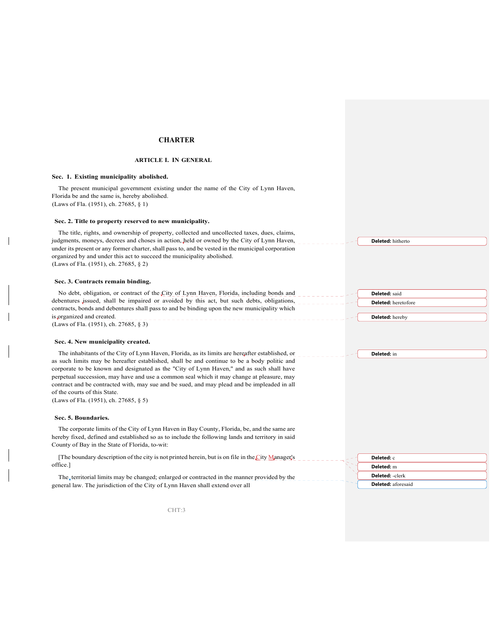### **CHARTER**

### **ARTICLE I. IN GENERAL**

### **Sec. 1. Existing municipality abolished.**

The present municipal government existing under the name of the City of Lynn Haven, Florida be and the same is, hereby abolished. (Laws of Fla. (1951), ch. 27685, § 1)

#### **Sec. 2. Title to property reserved to new municipality.**

The title, rights, and ownership of property, collected and uncollected taxes, dues, claims, judgments, moneys, decrees and choses in action, held or owned by the City of Lynn Haven, under its present or any former charter, shall pass to, and be vested in the municipal corporation organized by and under this act to succeed the municipality abolished. (Laws of Fla. (1951), ch. 27685, § 2)

#### **Sec. 3. Contracts remain binding.**

No debt, obligation, or contract of the City of Lynn Haven, Florida, including bonds and debentures issued, shall be impaired or avoided by this act, but such debts, obligations, contracts, bonds and debentures shall pass to and be binding upon the new municipality which is organized and created. (Laws of Fla. (1951), ch. 27685, § 3)

#### **Sec. 4. New municipality created.**

The inhabitants of the City of Lynn Haven, Florida, as its limits are hereafter established, or as such limits may be hereafter established, shall be and continue to be a body politic and corporate to be known and designated as the "City of Lynn Haven," and as such shall have perpetual succession, may have and use a common seal which it may change at pleasure, may contract and be contracted with, may sue and be sued, and may plead and be impleaded in all of the courts of this State.

(Laws of Fla. (1951), ch. 27685, § 5)

#### **Sec. 5. Boundaries.**

The corporate limits of the City of Lynn Haven in Bay County, Florida, be, and the same are hereby fixed, defined and established so as to include the following lands and territory in said County of Bay in the State of Florida, to-wit:

[The boundary description of the city is not printed herein, but is on file in the City Manager's office.]

The territorial limits may be changed; enlarged or contracted in the manner provided by the general law. The jurisdiction of the City of Lynn Haven shall extend over all

**Deleted:** c **Deleted:** m **Deleted:** -clerk **Deleted:** aforesaid

CHT:3

**Deleted:** hitherto

**Deleted:** said **Deleted:** heretofore

**Deleted:** hereby

**Deleted:** in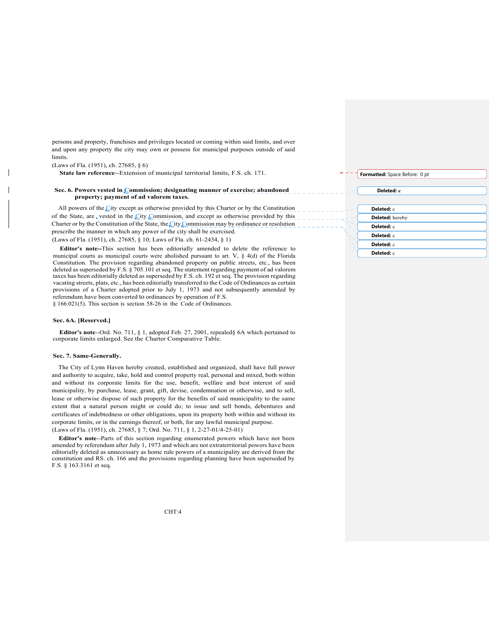persons and property, franchises and privileges located or coming within said limits, and over and upon any property the city may own or possess for municipal purposes outside of said limits.

(Laws of Fla. (1951), ch. 27685, § 6)

**State law reference**--Extension of municipal territorial limits, F.S. ch. 171.

#### **Sec. 6. Powers vested in Commission; designating manner of exercise; abandoned property; payment of ad valorem taxes.**

All powers of the City except as otherwise provided by this Charter or by the Constitution of the State, are vested in the City Commission, and except as otherwise provided by this Charter or by the Constitution of the State, the City Commission may by ordinance or resolution prescribe the manner in which any power of the city shall be exercised.

(Laws of Fla. (1951), ch. 27685, § 10; Laws of Fla. ch. 61-2434, § 1)

**Editor's note--**This section has been editorially amended to delete the reference to municipal courts as municipal courts were abolished pursuant to art. V, § 4(d) of the Florida Constitution. The provision regarding abandoned property on public streets, etc., has been deleted as superseded by F.S. § 705.101 et seq. The statement regarding payment of ad valorem taxes has been editorially deleted as superseded by F.S. ch. 192 et seq. The provision regarding vacating streets, plats, etc., has been editorially transferred to the Code of Ordinances as certain provisions of a Charter adopted prior to July 1, 1973 and not subsequently amended by referendum have been converted to ordinances by operation of F.S. § 166.021(5). This section is section 58-26 in the Code of Ordinances.

### **Sec. 6A. [Reserved.]**

**Editor's note**--Ord. No. 711, § 1, adopted Feb. 27, 2001, repealed§ 6A which pertained to corporate limits enlarged. See the Charter Comparative Table.

#### **Sec. 7. Same-Generally.**

The City of Lynn Haven hereby created, established and organized, shall have full power and authority to acquire, take, hold and control property real, personal and mixed, both within and without its corporate limits for the use, benefit, welfare and best interest of said municipality, by purchase, lease, grant, gift, devise, condemnation or otherwise, and to sell, lease or otherwise dispose of such property for the benefits of said municipality to the same extent that a natural person might or could do; to issue and sell bonds, debentures and certificates of indebtedness or other obligations, upon its property both within and without its corporate limits, or in the earnings thereof, or both, for any lawful municipal purpose. (Laws of Fla. (1951), ch. 27685, § 7; Ord. No. 711, § 1, 2-27-01/4-25-01)

**Editor's note**--Parts of this section regarding enumerated powers which have not been amended by referendum after July 1, 1973 and which are not extraterritorial powers have been editorially deleted as unnecessary as home rule powers of a municipality are derived from the constitution and RS. ch. 166 and the provisions regarding planning have been superseded by F.S. § 163.3161 et seq.

**Formatted:** Space Before: 0 pt

**Deleted: c**

## **Deleted:** c **Deleted:** hereby **Deleted:** c **Deleted:** c **Deleted:** c **Deleted:** c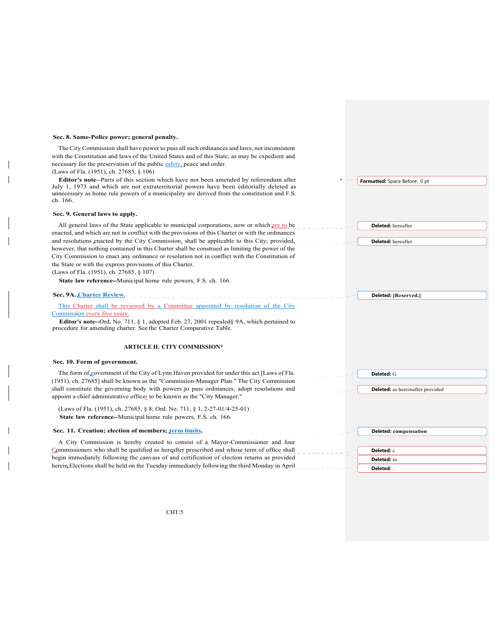### **Sec. 8. Same-Police power; general penalty.**

The City Commission shall have power to pass all such ordinances and laws, not inconsistent with the Constitution and laws of the United States and of this State, as may be expedient and necessary for the preservation of the public safety, peace and order. (Laws of Fla. (1951), ch. 27685, § 106)

**Editor's note**--Parts of this section which have not been amended by referendum after July 1, 1973 and which are not extraterritorial powers have been editorially deleted as unnecessary as home rule powers of a municipality are derived from the constitution and F.S. ch. 166.

### **Sec. 9. General laws to apply.**

All general laws of the State applicable to municipal corporations, now or which are to be enacted, and which are not in conflict with the provisions of this Charter or with the ordinances and resolutions enacted by the City Commission, shall be applicable to this City; provided, however, that nothing contained in this Charter shall be construed as limiting the power of the City Commission to enact any ordinance or resolution not in conflict with the Constitution of the State or with the express provisions of this Charter.

(Laws of Fla. (1951), ch. 27685, § 107)

**State law reference--**Municipal home rule powers, F.S. ch. 166.

| Sec. 9A. Charter Review.                                                                                                                                               | Deleted: [Reserved.]                    |
|------------------------------------------------------------------------------------------------------------------------------------------------------------------------|-----------------------------------------|
| This Charter shall be reviewed by a Committee appointed by resolution of the City                                                                                      |                                         |
| Commission every five years.                                                                                                                                           |                                         |
| <b>Editor's note--Ord.</b> No. 711, § 1, adopted Feb. 27, 2001 repealed § 9A, which pertained to<br>procedure for amending charter. See the Charter Comparative Table. |                                         |
| <b>ARTICLE II. CITY COMMISSION*</b>                                                                                                                                    |                                         |
| Sec. 10. Form of government.                                                                                                                                           |                                         |
| The form of government of the City of Lynn Haven provided for under this act [Laws of Fla.                                                                             | Deleted: G                              |
| (1951), ch. 27685] shall be known as the "Commission-Manager Plan." The City Commission                                                                                |                                         |
| shall constitute the governing body with powers to pass ordinances, adopt resolutions and<br>appoint a chief administrative officer to be known as the "City Manager." | <b>Deleted:</b> as hereinafter provided |
| (Laws of Fla. (1951), ch. 27685, § 8; Ord. No. 711, § 1, 2-27-01/4-25-01)                                                                                              |                                         |
| State law reference--Municipal home rule powers, F.S. ch. 166.                                                                                                         |                                         |
| Sec. 11. Creation; election of members; term limits.                                                                                                                   | <b>Deleted:</b> compensation            |
| A City Commission is hereby created to consist of a Mayor-Commissioner and four                                                                                        |                                         |
| Commissioners who shall be qualified as hereafter prescribed and whose term of office shall                                                                            | Deleted: c                              |
| begin immediately following the canvass of and certification of election returns as provided                                                                           | Deleted: in                             |
| herein Elections shall be held on the Tuesday immediately following the third Monday in April                                                                          | Dolotod:                                |

**Formatted:** Space Before: 0 pt

**Deleted:** hereafter

**Deleted:** hereafter

**Deleted:** .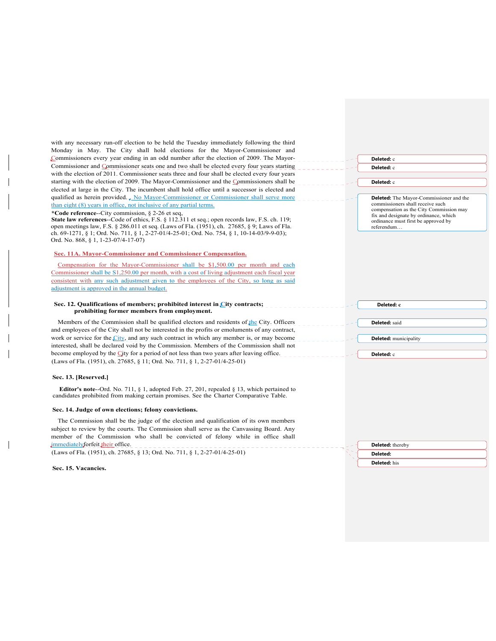| with any necessary run-off election to be held the Tuesday immediately following the third                                                                                                  |                                                                                  |
|---------------------------------------------------------------------------------------------------------------------------------------------------------------------------------------------|----------------------------------------------------------------------------------|
| Monday in May. The City shall hold elections for the Mayor-Commissioner and                                                                                                                 |                                                                                  |
| Commissioners every year ending in an odd number after the election of 2009. The Mayor-                                                                                                     | Deleted: c                                                                       |
| Commissioner and Commissioner seats one and two shall be elected every four years starting                                                                                                  | <b>Deleted:</b> c                                                                |
| with the election of 2011. Commissioner seats three and four shall be elected every four years<br>starting with the election of 2009. The Mayor-Commissioner and the Commissioners shall be |                                                                                  |
| elected at large in the City. The incumbent shall hold office until a successor is elected and                                                                                              | Deleted: c                                                                       |
| qualified as herein provided. No Mayor-Commissioner or Commissioner shall serve more                                                                                                        | Deleted: The Mayor-Commissioner and the                                          |
| than eight (8) years in office, not inclusive of any partial terms.                                                                                                                         | commissioners shall receive such                                                 |
| *Code reference--City commission, $\S$ 2-26 et seq.                                                                                                                                         | compensation as the City Commission may<br>fix and designate by ordinance, which |
| <b>State law references--Code of ethics, F.S. § 112.311 et seq.; open records law, F.S. ch. 119;</b>                                                                                        | ordinance must first be approved by                                              |
| open meetings law, F.S. § 286.011 et seq. (Laws of Fla. $(1951)$ , ch. 27685, § 9; Laws of Fla.                                                                                             | referendum                                                                       |
| ch. 69-1271, § 1; Ord. No. 711, § 1, 2-27-01/4-25-01; Ord. No. 754, § 1, 10-14-03/9-9-03);<br>Ord. No. 868, § 1, 1-23-07/4-17-07)                                                           |                                                                                  |
|                                                                                                                                                                                             |                                                                                  |
| Sec. 11A. Mayor-Commissioner and Commissioner Compensation.                                                                                                                                 |                                                                                  |
| Compensation for the Mayor-Commissioner shall be \$1,500.00 per month and each                                                                                                              |                                                                                  |
| Commissioner shall be S1,250.00 per month, with a cost of living adjustment each fiscal year                                                                                                |                                                                                  |
| consistent with any such adjustment given to the employees of the City, so long as said                                                                                                     |                                                                                  |
| adjustment is approved in the annual budget.                                                                                                                                                |                                                                                  |
| Sec. 12. Qualifications of members; prohibited interest in City contracts;                                                                                                                  | Deleted: c                                                                       |
| prohibiting former members from employment.                                                                                                                                                 |                                                                                  |
| Members of the Commission shall be qualified electors and residents of the City. Officers                                                                                                   | Deleted: said                                                                    |
| and employees of the City shall not be interested in the profits or emoluments of any contract,                                                                                             |                                                                                  |
| work or service for the $City$ , and any such contract in which any member is, or may become                                                                                                | <b>Deleted:</b> municipality                                                     |
| interested, shall be declared void by the Commission. Members of the Commission shall not                                                                                                   |                                                                                  |
| become employed by the City for a period of not less than two years after leaving office.                                                                                                   | Deleted: c                                                                       |
| (Laws of Fla. (1951), ch. 27685, § 11; Ord. No. 711, § 1, 2-27-01/4-25-01)                                                                                                                  |                                                                                  |
| Sec. 13. [Reserved.]                                                                                                                                                                        |                                                                                  |
| <b>Editor's note--Ord.</b> No. 711, § 1, adopted Feb. 27, 201, repealed § 13, which pertained to                                                                                            |                                                                                  |
| candidates prohibited from making certain promises. See the Charter Comparative Table.                                                                                                      |                                                                                  |
| Sec. 14. Judge of own elections; felony convictions.                                                                                                                                        |                                                                                  |
| The Commission shall be the judge of the election and qualification of its own members                                                                                                      |                                                                                  |
| subject to review by the courts. The Commission shall serve as the Canvassing Board. Any                                                                                                    |                                                                                  |
| member of the Commission who shall be convicted of felony while in office shall                                                                                                             |                                                                                  |
|                                                                                                                                                                                             |                                                                                  |
|                                                                                                                                                                                             | <b>Deleted:</b> thereby                                                          |
| immediately for feit their office.<br>(Laws of Fla. (1951), ch. 27685, § 13; Ord. No. 711, § 1, 2-27-01/4-25-01)                                                                            | Deleted:                                                                         |

 $\overline{\phantom{a}}$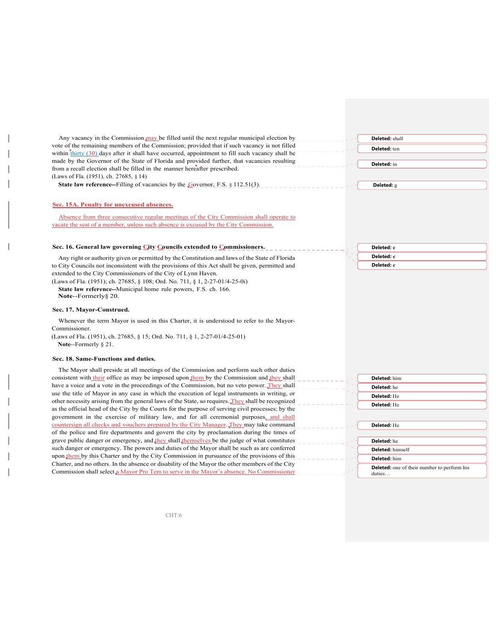| Any vacancy in the Commission may be filled until the next regular municipal election by                                                                                                           | Deleted: shall                                     |
|----------------------------------------------------------------------------------------------------------------------------------------------------------------------------------------------------|----------------------------------------------------|
| vote of the remaining members of the Commission; provided that if such vacancy is not filled                                                                                                       | Deleted: ten                                       |
| within thirty (30) days after it shall have occurred, appointment to fill such vacancy shall be                                                                                                    |                                                    |
| made by the Governor of the State of Florida and provided further, that vacancies resulting                                                                                                        | Deleted: in                                        |
| from a recall election shall be filled in the manner hereafter prescribed.<br>(Laws of Fla. (1951), ch. 27685, § 14)                                                                               |                                                    |
| <b>State law reference--Filling of vacancies by the Governor, F.S. § 112.51(3).</b>                                                                                                                | Deleted: g                                         |
|                                                                                                                                                                                                    |                                                    |
| Sec. 15A. Penalty for unexcused absences.                                                                                                                                                          |                                                    |
| Absence from three consecutive regular meetings of the City Commission shall operate to                                                                                                            |                                                    |
| vacate the seat of a member, unless such absence is excused by the City Commission.                                                                                                                |                                                    |
|                                                                                                                                                                                                    |                                                    |
| Sec. 16. General law governing City Councils extended to Commissioners.                                                                                                                            | Deleted: c                                         |
| Any right or authority given or permitted by the Constitution and laws of the State of Florida                                                                                                     | Deleted: c                                         |
| to City Councils not inconsistent with the provisions of this Act shall be given, permitted and                                                                                                    | Deleted: c                                         |
| extended to the City Commissioners of the City of Lynn Haven.                                                                                                                                      |                                                    |
| (Laws of Fla. (1951); ch. 27685, § 108; Ord. No. 711, § 1, 2-27-01/4-25-0i)                                                                                                                        |                                                    |
| State law reference--Municipal home rule powers, F.S. ch. 166.                                                                                                                                     |                                                    |
| Note--Formerly§ 20.                                                                                                                                                                                |                                                    |
| Sec. 17. Mayor-Construed.                                                                                                                                                                          |                                                    |
| Whenever the term Mayor is used in this Charter, it is understood to refer to the Mayor-                                                                                                           |                                                    |
| Commissioner.                                                                                                                                                                                      |                                                    |
| (Laws of Fla. (1951), ch. 27685, § 15; Ord. No. 711, § 1, 2-27-01/4-25-01)                                                                                                                         |                                                    |
| Note--Formerly § 21.                                                                                                                                                                               |                                                    |
| Sec. 18. Same-Functions and duties.                                                                                                                                                                |                                                    |
| The Mayor shall preside at all meetings of the Commission and perform such other duties                                                                                                            |                                                    |
| consistent with their office as may be imposed upon them by the Commission and they shall                                                                                                          | Deleted: him                                       |
| have a voice and a vote in the proceedings of the Commission, but no veto power. They shall                                                                                                        | Deleted: he                                        |
| use the title of Mayor in any case in which the execution of legal instruments in writing, or<br>other necessity arising from the general laws of the State, so requires. They shall be recognized | Deleted: He                                        |
| as the official head of the City by the Courts for the purpose of serving civil processes; by the                                                                                                  | Deleted: He                                        |
| government in the exercise of military law, and for all ceremonial purposes, and shall                                                                                                             |                                                    |
| countersign all checks and vouchers prepared by the City Manager. They may take command                                                                                                            | Deleted: He                                        |
| of the police and fire departments and govern the city by proclamation during the times of                                                                                                         |                                                    |
| grave public danger or emergency, and they shall themselves be the judge of what constitutes                                                                                                       | Deleted: he                                        |
| such danger or emergency. The powers and duties of the Mayor shall be such as are conferred                                                                                                        | Deleted: himself                                   |
| upon them by this Charter and by the City Commission in pursuance of the provisions of this                                                                                                        | Deleted: him                                       |
| Charter, and no others. In the absence or disability of the Mayor the other members of the City<br>Commission shall select a Mayor Pro Tem to serve in the Mayor's absence. No Commissioner        | <b>Deleted:</b> one of their number to perform his |
|                                                                                                                                                                                                    | duties                                             |

CHT:6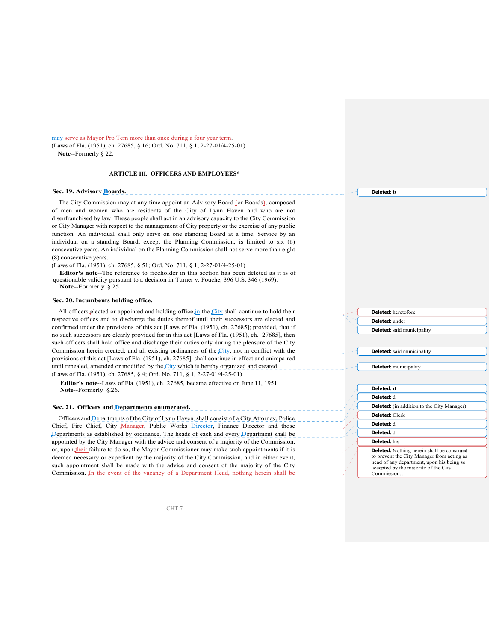may serve as Mayor Pro Tem more than once during a four year term. (Laws of Fla. (1951), ch. 27685, § 16; Ord. No. 711, § 1, 2-27-01/4-25-01) **Note**--Formerly § 22.

### **ARTICLE III. OFFICERS AND EMPLOYEES\***

### **Sec. 19. Advisory Boards.**

The City Commission may at any time appoint an Advisory Board (or Boards), composed of men and women who are residents of the City of Lynn Haven and who are not disenfranchised by law. These people shall act in an advisory capacity to the City Commission or City Manager with respect to the management of City property or the exercise of any public function. An individual shall only serve on one standing Board at a time. Service by an individual on a standing Board, except the Planning Commission, is limited to six (6) consecutive years. An individual on the Planning Commission shall not serve more than eight (8) consecutive years.

(Laws of Fla. (1951), ch. 27685, § 51; Ord. No. 711, § 1, 2-27-01/4-25-01)

**Editor's note**--The reference to freeholder in this section has been deleted as it is of questionable validity pursuant to a decision in Turner v. Fouche, 396 U.S. 346 (1969). **Note**--Formerly § 25.

#### **Sec. 20. Incumbents holding office.**

All officers elected or appointed and holding office in the City shall continue to hold their respective offices and to discharge the duties thereof until their successors are elected and confirmed under the provisions of this act [Laws of Fla. (1951), ch. 27685]; provided, that if no such successors are clearly provided for in this act [Laws of Fla. (1951), ch. 27685], then such officers shall hold office and discharge their duties only during the pleasure of the City Commission herein created; and all existing ordinances of the City, not in conflict with the provisions of this act [Laws of Fla. (1951), ch. 27685], shall continue in effect and unimpaired until repealed, amended or modified by the City which is hereby organized and created. (Laws of Fla. (1951), ch. 27685, § 4; Ord. No. 711, § 1, 2-27-01/4-25-01)

**Editor's note**--Laws of Fla. (1951), ch. 27685, became effective on June 11, 1951. **Note**--Formerly §.26.

#### **Sec. 21. Officers and Departments enumerated.**

Officers and Departments of the City of Lynn Haven, shall consist of a City Attorney, Police Chief, Fire Chief, City Manager, Public Works Director, Finance Director and those Departments as established by ordinance. The heads of each and every Department shall be appointed by the City Manager with the advice and consent of a majority of the Commission, or, upon their failure to do so, the Mayor-Commissioner may make such appointments if it is deemed necessary or expedient by the majority of the City Commission, and in either event, such appointment shall be made with the advice and consent of the majority of the City Commission. In the event of the vacancy of a Department Head, nothing herein shall be

**Deleted: b**

**Deleted:** heretofore **Deleted:** under **Deleted:** said municipality

**Deleted:** said municipality

**Deleted:** municipality

**Deleted: d Deleted:** d

**Deleted:** (in addition to the City Manager)

**Deleted:** Clerk

**Deleted:** d

**Deleted:** d

**Deleted:** his

**Deleted:** Nothing herein shall be construed to prevent the City Manager from acting as head of any department, upon his being so accepted by the majority of the City Commission…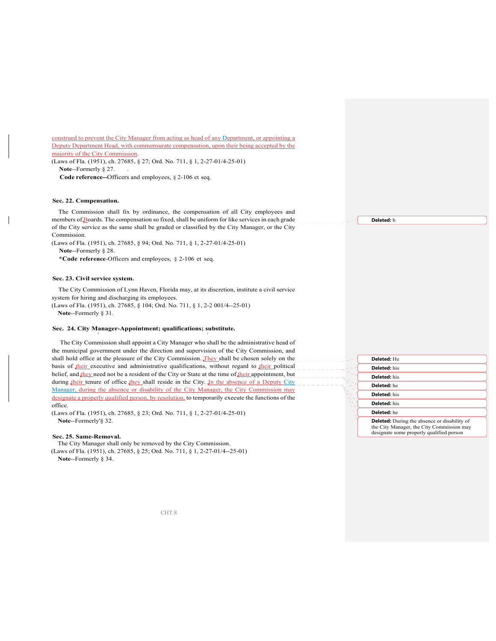construed to prevent the City Manager from acting as head of any Department, or appointing a Deputy Department Head, with commensurate compensation, upon their being accepted by the majority of the City Commission.

(Laws of Fla. (1951), ch. 27685, § 27; Ord. No. 711, § 1, 2-27-01/4-25-01) **Note--Formerly § 27.** 

**Code reference--**Officers and employees, § 2-106 et seq.

### **Sec. 22. Compensation.**

The Commission shall fix by ordinance, the compensation of all City employees and members of Boards. The compensation so fixed, shall be uniform for like services in each grade of the City service as the same shall be graded or classified by the City Manager, or the City Commission.

(Laws of Fla. (1951), ch. 27685, § 94; Ord. No. 711, § 1, 2-27-01/4-25-01)

**Note**--Formerly § 28.

**\*Code reference**-Officers and employees, § 2-106 et seq.

#### **Sec. 23. Civil service system.**

The City Commission of Lynn Haven, Florida may, at its discretion, institute a civil service system for hiring and discharging its employees. (Laws of Fla. (1951), ch. 27685, § 104; Ord. No. 711, § 1, 2-2 001/4--25-01)

I later than  $\mathbb{I}$  is the contract of the contract of the contract of the contract of the contract of the contract of the contract of the contract of the contract of the contract of the contract of the contract of the

**Note**--Formerly § 31.

### **Sec. 24. City Manager-Appointment; qualifications; substitute.**

 The City Commission shall appoint a City Manager who shall be the administrative head of the municipal government under the direction and supervision of the City Commission, and shall hold office at the pleasure of the City Commission. They shall be chosen solely on the basis of  $\underline{\text{their}}$  executive and administrative qualifications, without regard to  $\underline{\text{their}}$  political belief, and they need not be a resident of the City or State at the time of their appointment, but during their tenure of office they shall reside in the City. In the absence of a Deputy City Manager, during the absence or disability of the City Manager, the City Commission may designate a properly qualified person, by resolution, to temporarily execute the functions of the office.

(Laws of Fla. (1951), ch. 27685, § 23; Ord. No. 711, § 1, 2-27-01/4-25-01) **Note**--Formerly'§ 32.

#### **Sec. 25. Same-Removal.**

The City Manager shall only be removed by the City Commission.

(Laws of Fla. (1951), ch. 27685, § 25; Ord. No. 711, § 1, 2-27-01/4--25-01) **Note**--Formerly § 34.



**Deleted:** b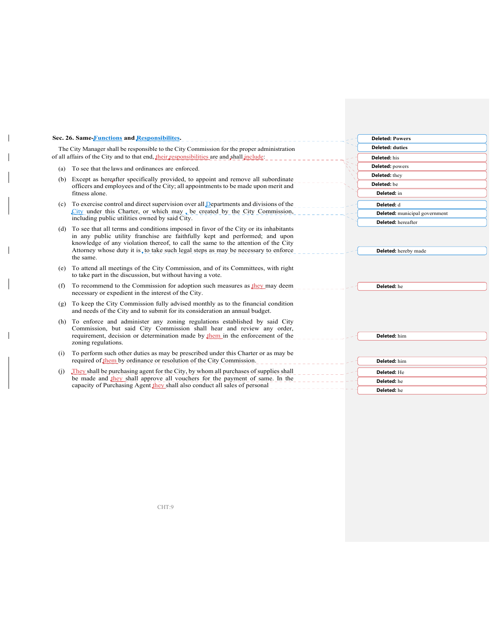| Sec. 26. Same-Functions and Responsibilites.                                               |                                                                                                                                                                                                                                                                                                                                                             | <b>Deleted: Powers</b>               |
|--------------------------------------------------------------------------------------------|-------------------------------------------------------------------------------------------------------------------------------------------------------------------------------------------------------------------------------------------------------------------------------------------------------------------------------------------------------------|--------------------------------------|
| The City Manager shall be responsible to the City Commission for the proper administration |                                                                                                                                                                                                                                                                                                                                                             | <b>Deleted: duties</b>               |
| of all affairs of the City and to that end, their responsibilities are and shall include:  |                                                                                                                                                                                                                                                                                                                                                             | Deleted: his                         |
| (a)                                                                                        | To see that the laws and ordinances are enforced.                                                                                                                                                                                                                                                                                                           | Deleted: powers                      |
| (b)                                                                                        | Except as hereafter specifically provided, to appoint and remove all subordinate                                                                                                                                                                                                                                                                            | Deleted: they                        |
|                                                                                            | officers and employees and of the City; all appointments to be made upon merit and                                                                                                                                                                                                                                                                          | Deleted: be                          |
|                                                                                            | fitness alone.                                                                                                                                                                                                                                                                                                                                              | Deleted: in                          |
| (c)                                                                                        | To exercise control and direct supervision over all Departments and divisions of the                                                                                                                                                                                                                                                                        | Deleted: d                           |
|                                                                                            | City under this Charter, or which may, be created by the City Commission,                                                                                                                                                                                                                                                                                   | <b>Deleted:</b> municipal government |
|                                                                                            | including public utilities owned by said City.                                                                                                                                                                                                                                                                                                              | <b>Deleted:</b> hereafter            |
| (d)                                                                                        | To see that all terms and conditions imposed in favor of the City or its inhabitants<br>in any public utility franchise are faithfully kept and performed; and upon<br>knowledge of any violation thereof, to call the same to the attention of the City<br>Attorney whose duty it is, to take such legal steps as may be necessary to enforce<br>the same. | Deleted: hereby made                 |
| (e)                                                                                        | To attend all meetings of the City Commission, and of its Committees, with right<br>to take part in the discussion, but without having a vote.                                                                                                                                                                                                              |                                      |
| (f)                                                                                        | To recommend to the Commission for adoption such measures as they may deem<br>necessary or expedient in the interest of the City.                                                                                                                                                                                                                           | Deleted: he                          |
| (g)                                                                                        | To keep the City Commission fully advised monthly as to the financial condition<br>and needs of the City and to submit for its consideration an annual budget.                                                                                                                                                                                              |                                      |
| (h)                                                                                        | To enforce and administer any zoning regulations established by said City<br>Commission, but said City Commission shall hear and review any order,<br>requirement, decision or determination made by them in the enforcement of the                                                                                                                         | Deleted: him                         |
|                                                                                            | zoning regulations.                                                                                                                                                                                                                                                                                                                                         |                                      |
| (i)                                                                                        | To perform such other duties as may be prescribed under this Charter or as may be                                                                                                                                                                                                                                                                           |                                      |
|                                                                                            | required of them by ordinance or resolution of the City Commission.                                                                                                                                                                                                                                                                                         | Deleted: him                         |
| (i)                                                                                        | They shall be purchasing agent for the City, by whom all purchases of supplies shall                                                                                                                                                                                                                                                                        | Deleted: He                          |
|                                                                                            | be made and they shall approve all vouchers for the payment of same. In the                                                                                                                                                                                                                                                                                 | Deleted: he                          |
|                                                                                            | capacity of Purchasing Agent they shall also conduct all sales of personal                                                                                                                                                                                                                                                                                  | Deleted: he                          |

CHT:9

 $\overline{\phantom{a}}$ 

 $\mathbf{I}$ 

 $\overline{\phantom{a}}$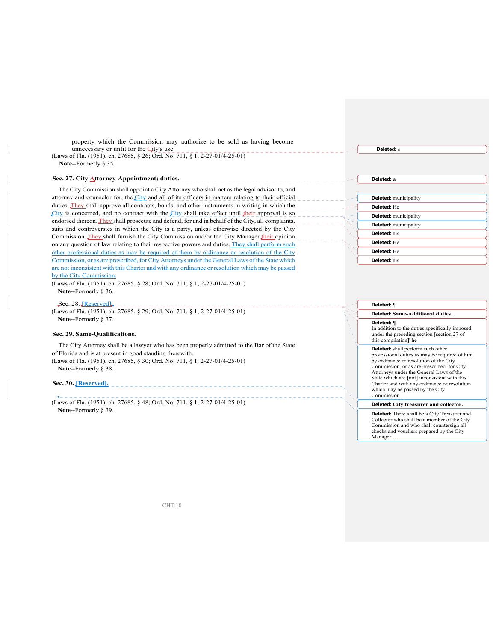| property which the Commission may authorize to be sold as having become<br>unnecessary or unfit for the City's use.<br>(Laws of Fla. (1951), ch. 27685, § 26; Ord. No. 711, § 1, 2-27-01/4-25-01)<br>Note--Formerly § 35.        | Deleted: c                                                                                                                                                                      |
|----------------------------------------------------------------------------------------------------------------------------------------------------------------------------------------------------------------------------------|---------------------------------------------------------------------------------------------------------------------------------------------------------------------------------|
| Sec. 27. City Attorney-Appointment; duties.                                                                                                                                                                                      | Deleted: a                                                                                                                                                                      |
| The City Commission shall appoint a City Attorney who shall act as the legal advisor to, and                                                                                                                                     |                                                                                                                                                                                 |
| attorney and counselor for, the City and all of its officers in matters relating to their official                                                                                                                               | <b>Deleted:</b> municipality                                                                                                                                                    |
| duties. They shall approve all contracts, bonds, and other instruments in writing in which the                                                                                                                                   | Deleted: He                                                                                                                                                                     |
| City is concerned, and no contract with the City shall take effect until their approval is so                                                                                                                                    | <b>Deleted:</b> municipality                                                                                                                                                    |
| endorsed thereon. They shall prosecute and defend, for and in behalf of the City, all complaints,                                                                                                                                | <b>Deleted:</b> municipality                                                                                                                                                    |
| suits and controversies in which the City is a party, unless otherwise directed by the City<br>Commission. They shall furnish the City Commission and/or the City Manager their opinion                                          | <b>Deleted:</b> his                                                                                                                                                             |
| on any question of law relating to their respective powers and duties. They shall perform such                                                                                                                                   | Deleted: He                                                                                                                                                                     |
| other professional duties as may be required of them by ordinance or resolution of the City                                                                                                                                      | Deleted: He                                                                                                                                                                     |
| Commission, or as are prescribed, for City Attorneys under the General Laws of the State which                                                                                                                                   | Deleted: his                                                                                                                                                                    |
| are not inconsistent with this Charter and with any ordinance or resolution which may be passed<br>by the City Commission.<br>(Laws of Fla. (1951), ch. 27685, § 28; Ord. No. 711; § 1, 2-27-01/4-25-01)<br>Note--Formerly § 36. |                                                                                                                                                                                 |
| Sec. 28. JReserved                                                                                                                                                                                                               | Deleted: 1                                                                                                                                                                      |
| (Laws of Fla. (1951), ch. 27685, § 29; Ord. No. 711, § 1, 2-27-01/4-25-01)                                                                                                                                                       | Deleted: Same-Additional duties.                                                                                                                                                |
| Note--Formerly § 37.<br>Sec. 29. Same-Oualifications.                                                                                                                                                                            | Deleted: ¶<br>In addition to the duties specifically imposed<br>under the preceding section [section 27 of<br>this compilation]' he                                             |
| The City Attorney shall be a lawyer who has been properly admitted to the Bar of the State                                                                                                                                       | Deleted: shall perform such other                                                                                                                                               |
| of Florida and is at present in good standing therewith.                                                                                                                                                                         | professional duties as may be required of him                                                                                                                                   |
| (Laws of Fla. (1951), ch. 27685, § 30; Ord. No. 711, § 1, 2-27-01/4-25-01)<br>Note--Formerly § 38.                                                                                                                               | by ordinance or resolution of the City<br>Commission, or as are prescribed, for City<br>Attorneys under the General Laws of the<br>State which are [not] inconsistent with this |
| Sec. 30. [Reserved].                                                                                                                                                                                                             | Charter and with any ordinance or resolution<br>which may be passed by the City<br>Commission                                                                                   |
| (Laws of Fla. (1951), ch. 27685, § 48; Ord. No. 711, § 1, 2-27-01/4-25-01)                                                                                                                                                       | Deleted: City treasurer and collector.                                                                                                                                          |
| Note--Formerly § 39.                                                                                                                                                                                                             | <b>Deleted:</b> Thousabell has City Treesmen and                                                                                                                                |

**Deleted:** There shall be a City Treasurer and Collector who shall be a member of the City Commission and who shall countersign all checks and vouchers prepared by the City Manager....

CHT:10

 $\overline{1}$ 

 $\overline{\phantom{a}}$